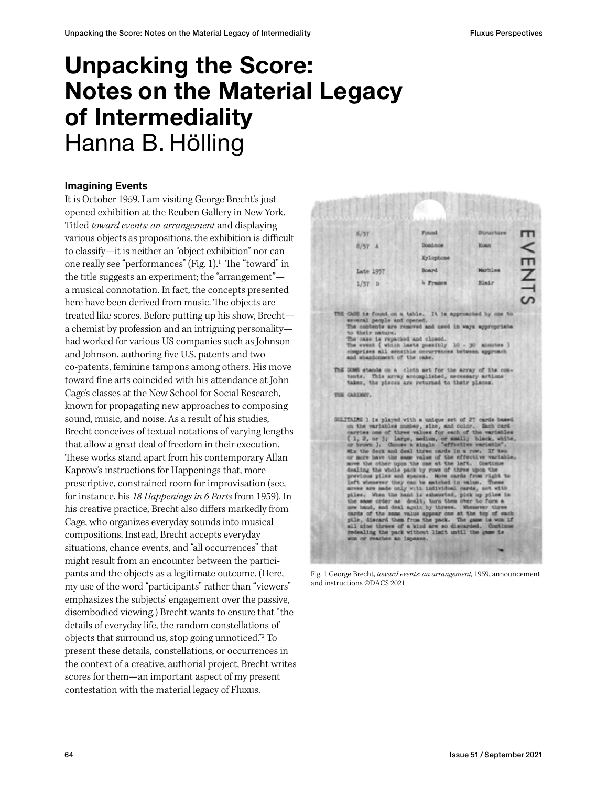# Unpacking the Score: Notes on the Material Legacy of Intermediality Hanna B. Hölling

# Imagining Events

It is October 1959. I am visiting George Brecht's just opened exhibition at the Reuben Gallery in New York. Titled *toward events: an arrangement* and displaying various objects as propositions, the exhibition is difficult to classify—it is neither an "object exhibition" nor can one really see "performances" (Fig. 1).<sup>1</sup> The "toward" in the title suggests an experiment; the "arrangement" a musical connotation. In fact, the concepts presented here have been derived from music. The objects are treated like scores. Before putting up his show, Brecht a chemist by profession and an intriguing personality had worked for various US companies such as Johnson and Johnson, authoring five U.S. patents and two co-patents, feminine tampons among others. His move toward fine arts coincided with his attendance at John Cage's classes at the New School for Social Research, known for propagating new approaches to composing sound, music, and noise. As a result of his studies, Brecht conceives of textual notations of varying lengths that allow a great deal of freedom in their execution. These works stand apart from his contemporary Allan Kaprow's instructions for Happenings that, more prescriptive, constrained room for improvisation (see, for instance, his *18 Happenings in 6 Parts* from 1959). In his creative practice, Brecht also differs markedly from Cage, who organizes everyday sounds into musical compositions. Instead, Brecht accepts everyday situations, chance events, and "all occurrences" that might result from an encounter between the participants and the objects as a legitimate outcome. (Here, my use of the word "participants" rather than "viewers" emphasizes the subjects' engagement over the passive, disembodied viewing.) Brecht wants to ensure that "the details of everyday life, the random constellations of objects that surround us, stop going unnoticed."2 To present these details, constellations, or occurrences in the context of a creative, authorial project, Brecht writes scores for them—an important aspect of my present contestation with the material legacy of Fluxus.



Fig. 1 George Brecht, *toward events: an arrangement,* 1959, announcement and instructions ©DACS 2021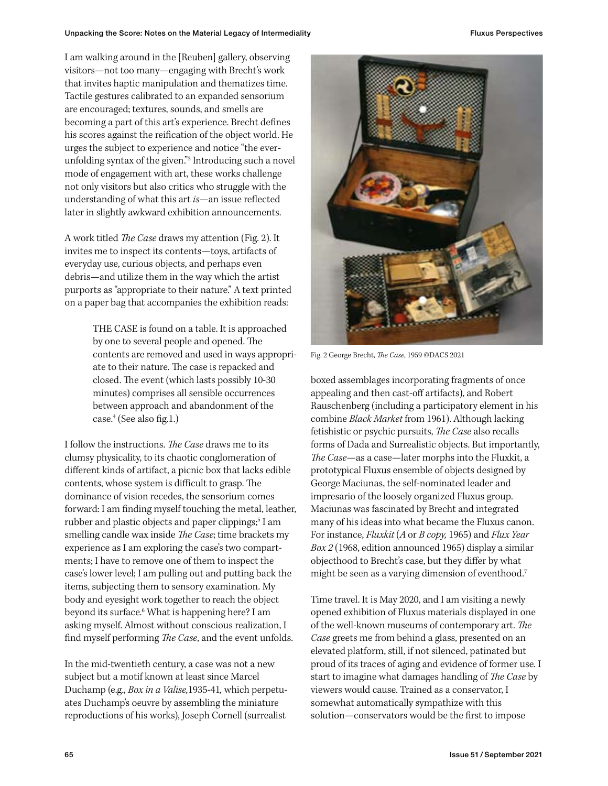I am walking around in the [Reuben] gallery, observing visitors—not too many—engaging with Brecht's work that invites haptic manipulation and thematizes time. Tactile gestures calibrated to an expanded sensorium are encouraged; textures, sounds, and smells are becoming a part of this art's experience. Brecht defines his scores against the reification of the object world. He urges the subject to experience and notice "the everunfolding syntax of the given."3 Introducing such a novel mode of engagement with art, these works challenge not only visitors but also critics who struggle with the understanding of what this art *is*—an issue reflected later in slightly awkward exhibition announcements.

A work titled *The Case* draws my attention (Fig. 2). It invites me to inspect its contents—toys, artifacts of everyday use, curious objects, and perhaps even debris—and utilize them in the way which the artist purports as "appropriate to their nature." A text printed on a paper bag that accompanies the exhibition reads:

> THE CASE is found on a table. It is approached by one to several people and opened. The contents are removed and used in ways appropriate to their nature. The case is repacked and closed. The event (which lasts possibly 10-30 minutes) comprises all sensible occurrences between approach and abandonment of the case.4 (See also fig.1.)

I follow the instructions. *The Case* draws me to its clumsy physicality, to its chaotic conglomeration of different kinds of artifact, a picnic box that lacks edible contents, whose system is difficult to grasp. The dominance of vision recedes, the sensorium comes forward: I am finding myself touching the metal, leather, rubber and plastic objects and paper clippings;<sup>5</sup> I am smelling candle wax inside *The Case*; time brackets my experience as I am exploring the case's two compartments; I have to remove one of them to inspect the case's lower level; I am pulling out and putting back the items, subjecting them to sensory examination. My body and eyesight work together to reach the object beyond its surface.6 What is happening here? I am asking myself. Almost without conscious realization, I find myself performing *The Case*, and the event unfolds.

In the mid-twentieth century, a case was not a new subject but a motif known at least since Marcel Duchamp (e.g., *Box in a Valise,*1935-41*,* which perpetuates Duchamp's oeuvre by assembling the miniature reproductions of his works), Joseph Cornell (surrealist



Fig. 2 George Brecht, *The Case*, 1959 ©DACS 2021

boxed assemblages incorporating fragments of once appealing and then cast-off artifacts), and Robert Rauschenberg (including a participatory element in his combine *Black Market* from 1961). Although lacking fetishistic or psychic pursuits, *The Case* also recalls forms of Dada and Surrealistic objects. But importantly, *The Case*—as a case—later morphs into the Fluxkit, a prototypical Fluxus ensemble of objects designed by George Maciunas, the self-nominated leader and impresario of the loosely organized Fluxus group. Maciunas was fascinated by Brecht and integrated many of his ideas into what became the Fluxus canon. For instance, *Fluxkit* (*A* or *B copy,* 1965) and *Flux Year Box 2* (1968, edition announced 1965) display a similar objecthood to Brecht's case, but they differ by what might be seen as a varying dimension of eventhood.7

Time travel. It is May 2020, and I am visiting a newly opened exhibition of Fluxus materials displayed in one of the well-known museums of contemporary art. *The Case* greets me from behind a glass, presented on an elevated platform, still, if not silenced, patinated but proud of its traces of aging and evidence of former use. I start to imagine what damages handling of *The Case* by viewers would cause. Trained as a conservator, I somewhat automatically sympathize with this solution—conservators would be the first to impose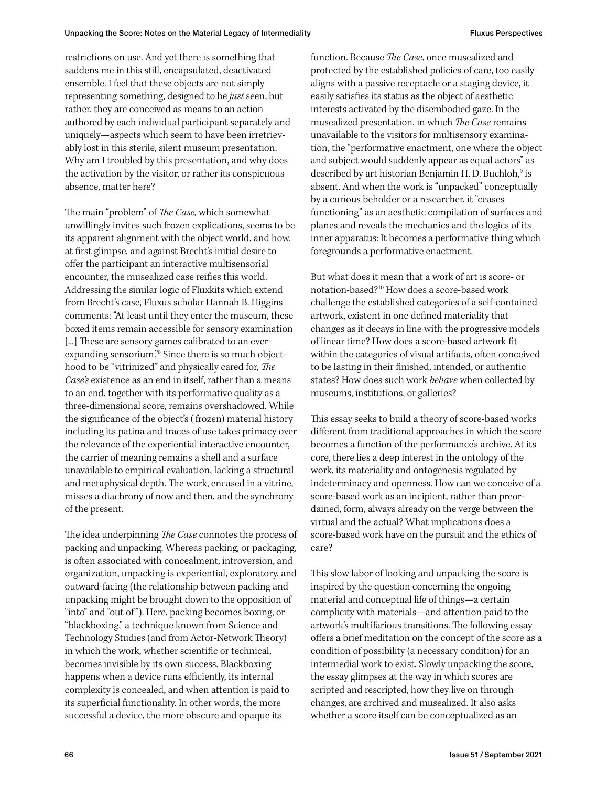restrictions on use. And yet there is something that saddens me in this still, encapsulated, deactivated ensemble. I feel that these objects are not simply representing something, designed to be *just* seen, but rather, they are conceived as means to an action authored by each individual participant separately and uniquely—aspects which seem to have been irretrievably lost in this sterile, silent museum presentation. Why am I troubled by this presentation, and why does the activation by the visitor, or rather its conspicuous absence, matter here?

The main "problem" of *The Case,* which somewhat unwillingly invites such frozen explications, seems to be its apparent alignment with the object world, and how, at first glimpse, and against Brecht's initial desire to offer the participant an interactive multisensorial encounter, the musealized case reifies this world. Addressing the similar logic of Fluxkits which extend from Brecht's case, Fluxus scholar Hannah B. Higgins comments: "At least until they enter the museum, these boxed items remain accessible for sensory examination [...] These are sensory games calibrated to an everexpanding sensorium."8 Since there is so much objecthood to be "vitrinized" and physically cared for, *The Case's* existence as an end in itself, rather than a means to an end, together with its performative quality as a three-dimensional score, remains overshadowed. While the significance of the object's ( frozen) material history including its patina and traces of use takes primacy over the relevance of the experiential interactive encounter, the carrier of meaning remains a shell and a surface unavailable to empirical evaluation, lacking a structural and metaphysical depth. The work, encased in a vitrine, misses a diachrony of now and then, and the synchrony of the present.

The idea underpinning *The Case* connotes the process of packing and unpacking. Whereas packing, or packaging, is often associated with concealment, introversion, and organization, unpacking is experiential, exploratory, and outward-facing (the relationship between packing and unpacking might be brought down to the opposition of "into" and "out of "). Here, packing becomes boxing, or "blackboxing," a technique known from Science and Technology Studies (and from Actor-Network Theory) in which the work, whether scientific or technical, becomes invisible by its own success. Blackboxing happens when a device runs efficiently, its internal complexity is concealed, and when attention is paid to its superficial functionality. In other words, the more successful a device, the more obscure and opaque its

function. Because *The Case*, once musealized and protected by the established policies of care, too easily aligns with a passive receptacle or a staging device, it easily satisfies its status as the object of aesthetic interests activated by the disembodied gaze. In the musealized presentation, in which *The Case* remains unavailable to the visitors for multisensory examination, the "performative enactment, one where the object and subject would suddenly appear as equal actors" as described by art historian Benjamin H. D. Buchloh,<sup>9</sup> is absent. And when the work is "unpacked" conceptually by a curious beholder or a researcher, it "ceases functioning" as an aesthetic compilation of surfaces and planes and reveals the mechanics and the logics of its inner apparatus: It becomes a performative thing which foregrounds a performative enactment.

But what does it mean that a work of art is score- or notation-based?10 How does a score-based work challenge the established categories of a self-contained artwork, existent in one defined materiality that changes as it decays in line with the progressive models of linear time? How does a score-based artwork fit within the categories of visual artifacts, often conceived to be lasting in their finished, intended, or authentic states? How does such work *behave* when collected by museums, institutions, or galleries?

This essay seeks to build a theory of score-based works different from traditional approaches in which the score becomes a function of the performance's archive. At its core, there lies a deep interest in the ontology of the work, its materiality and ontogenesis regulated by indeterminacy and openness. How can we conceive of a score-based work as an incipient, rather than preordained, form, always already on the verge between the virtual and the actual? What implications does a score-based work have on the pursuit and the ethics of care?

This slow labor of looking and unpacking the score is inspired by the question concerning the ongoing material and conceptual life of things—a certain complicity with materials—and attention paid to the artwork's multifarious transitions. The following essay offers a brief meditation on the concept of the score as a condition of possibility (a necessary condition) for an intermedial work to exist. Slowly unpacking the score, the essay glimpses at the way in which scores are scripted and rescripted, how they live on through changes, are archived and musealized. It also asks whether a score itself can be conceptualized as an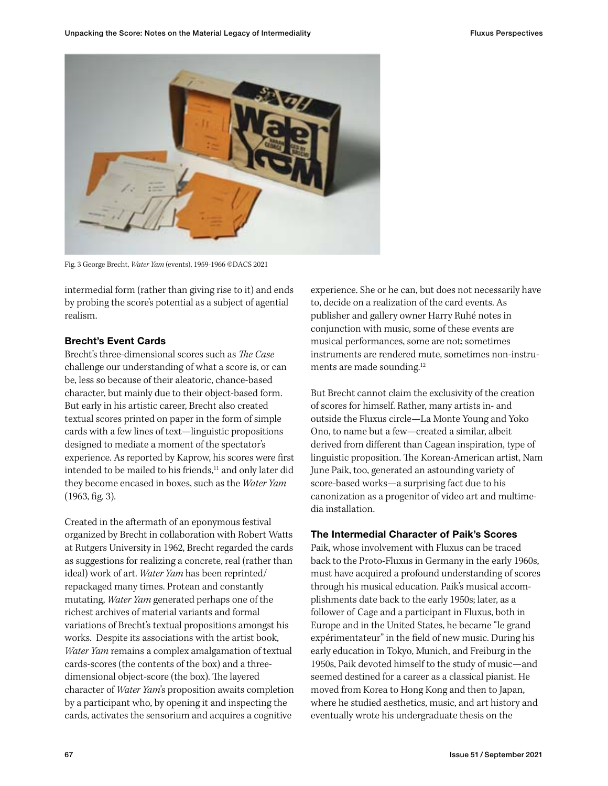

Fig. 3 George Brecht, *Water Yam* (events), 1959-1966 ©DACS 2021

intermedial form (rather than giving rise to it) and ends by probing the score's potential as a subject of agential realism.

# Brecht's Event Cards

Brecht's three-dimensional scores such as *The Case* challenge our understanding of what a score is, or can be, less so because of their aleatoric, chance-based character, but mainly due to their object-based form. But early in his artistic career, Brecht also created textual scores printed on paper in the form of simple cards with a few lines of text—linguistic propositions designed to mediate a moment of the spectator's experience. As reported by Kaprow, his scores were first intended to be mailed to his friends,<sup>11</sup> and only later did they become encased in boxes, such as the *Water Yam* (1963, fig. 3).

Created in the aftermath of an eponymous festival organized by Brecht in collaboration with Robert Watts at Rutgers University in 1962, Brecht regarded the cards as suggestions for realizing a concrete, real (rather than ideal) work of art. *Water Yam* has been reprinted/ repackaged many times. Protean and constantly mutating, *Water Yam* generated perhaps one of the richest archives of material variants and formal variations of Brecht's textual propositions amongst his works. Despite its associations with the artist book, *Water Yam* remains a complex amalgamation of textual cards-scores (the contents of the box) and a threedimensional object-score (the box). The layered character of *Water Yam*'s proposition awaits completion by a participant who, by opening it and inspecting the cards, activates the sensorium and acquires a cognitive

experience. She or he can, but does not necessarily have to, decide on a realization of the card events. As publisher and gallery owner Harry Ruhé notes in conjunction with music, some of these events are musical performances, some are not; sometimes instruments are rendered mute, sometimes non-instruments are made sounding.12

But Brecht cannot claim the exclusivity of the creation of scores for himself. Rather, many artists in- and outside the Fluxus circle—La Monte Young and Yoko Ono, to name but a few—created a similar, albeit derived from different than Cagean inspiration, type of linguistic proposition. The Korean-American artist, Nam June Paik, too, generated an astounding variety of score-based works—a surprising fact due to his canonization as a progenitor of video art and multimedia installation.

# The Intermedial Character of Paik's Scores

Paik, whose involvement with Fluxus can be traced back to the Proto-Fluxus in Germany in the early 1960s, must have acquired a profound understanding of scores through his musical education. Paik's musical accomplishments date back to the early 1950s; later, as a follower of Cage and a participant in Fluxus, both in Europe and in the United States, he became "le grand expérimentateur" in the field of new music. During his early education in Tokyo, Munich, and Freiburg in the 1950s, Paik devoted himself to the study of music—and seemed destined for a career as a classical pianist. He moved from Korea to Hong Kong and then to Japan, where he studied aesthetics, music, and art history and eventually wrote his undergraduate thesis on the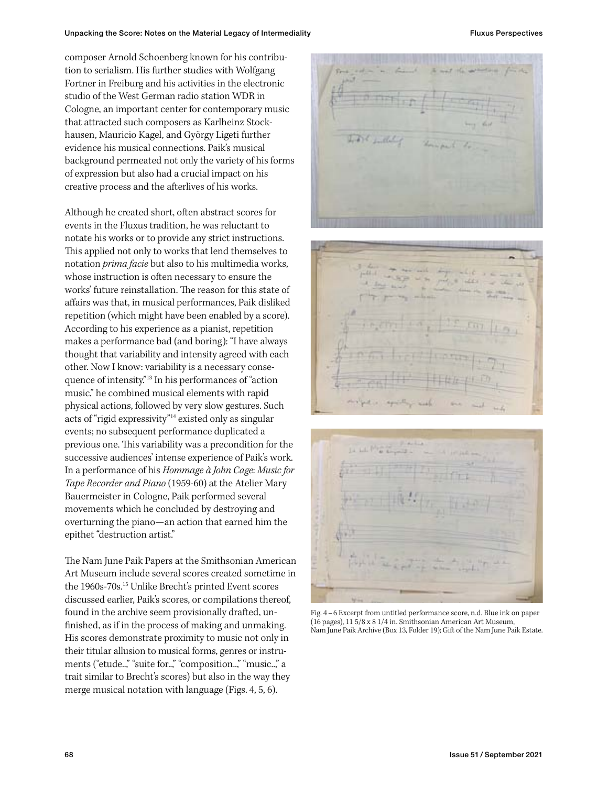composer Arnold Schoenberg known for his contribution to serialism. His further studies with Wolfgang Fortner in Freiburg and his activities in the electronic studio of the West German radio station WDR in Cologne, an important center for contemporary music that attracted such composers as Karlheinz Stockhausen, Mauricio Kagel, and György Ligeti further evidence his musical connections. Paik's musical background permeated not only the variety of his forms of expression but also had a crucial impact on his creative process and the afterlives of his works.

Although he created short, often abstract scores for events in the Fluxus tradition, he was reluctant to notate his works or to provide any strict instructions. This applied not only to works that lend themselves to notation *prima facie* but also to his multimedia works, whose instruction is often necessary to ensure the works' future reinstallation. The reason for this state of affairs was that, in musical performances, Paik disliked repetition (which might have been enabled by a score). According to his experience as a pianist, repetition makes a performance bad (and boring): "I have always thought that variability and intensity agreed with each other. Now I know: variability is a necessary consequence of intensity."13 In his performances of "action music," he combined musical elements with rapid physical actions, followed by very slow gestures. Such acts of "rigid expressivity"14 existed only as singular events; no subsequent performance duplicated a previous one. This variability was a precondition for the successive audiences' intense experience of Paik's work. In a performance of his *Hommage à John Cage*: *Music for Tape Recorder and Piano* (1959-60) at the Atelier Mary Bauermeister in Cologne, Paik performed several movements which he concluded by destroying and overturning the piano—an action that earned him the epithet "destruction artist."

The Nam June Paik Papers at the Smithsonian American Art Museum include several scores created sometime in the 1960s-70s.15 Unlike Brecht's printed Event scores discussed earlier, Paik's scores, or compilations thereof, found in the archive seem provisionally drafted, unfinished, as if in the process of making and unmaking. His scores demonstrate proximity to music not only in their titular allusion to musical forms, genres or instruments ("etude..," "suite for..," "composition..," "music..," a trait similar to Brecht's scores) but also in the way they merge musical notation with language (Figs. 4, 5, 6).



Fig. 4 – 6 Excerpt from untitled performance score, n.d. Blue ink on paper (16 pages), 11 5/8 x 8 1/4 in. Smithsonian American Art Museum, Nam June Paik Archive (Box 13, Folder 19); Gift of the Nam June Paik Estate.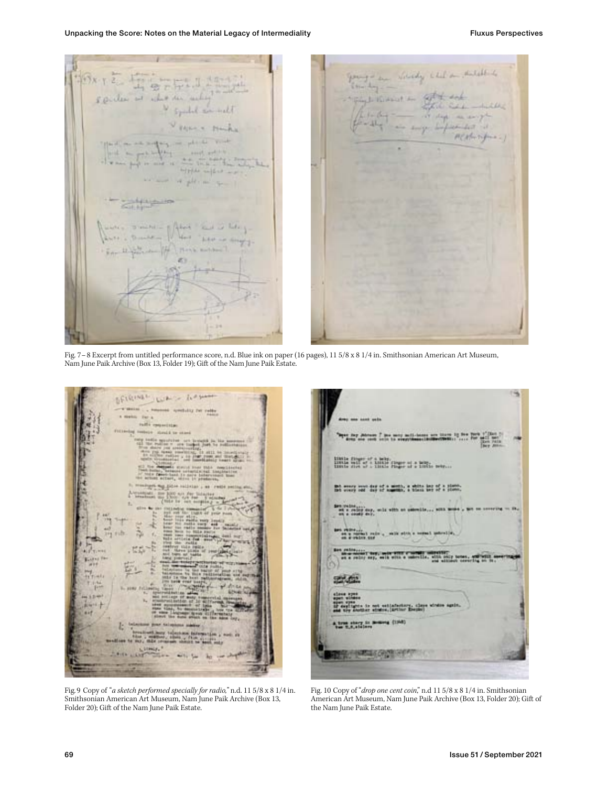your of the districtly which is the district of  $5x + 2$ Fitch L. Kissat Av V symbol similarly midell it Althorities  $5 - 16$ alpha super -> it pit in a  $41.11$ simple - q floor and is help.

Fig. 7 – 8 Excerpt from untitled performance score, n.d. Blue ink on paper (16 pages), 11 5/8 x 8 1/4 in. Smithsonian American Art Museum, Nam June Paik Archive (Box 13, Folder 19); Gift of the Nam June Paik Estate.

SEIRING LUAS APPE An Yer's mits opposite

Fig. 9 Copy of "*a sketch performed specially for radio,*" n.d. 11 5/8 x 8 1/4 in. Smithsonian American Art Museum, Nam June Paik Archive (Box 13, Folder 20); Gift of the Nam June Paik Estate.

have I pay were well-been are three by N.<br>sent vers to weap-house-invite-clients . . . HING SHE OF HING SECTION THE MAN senery ween day of a month, a white hap of a plane,<br>weavy out day of summin, a blank are of a plane. **u** (1948) **Bally St. P MALE CREW** 

Fig. 10 Copy of "*drop one cent coin*," n.d 11 5/8 x 8 1/4 in. Smithsonian American Art Museum, Nam June Paik Archive (Box 13, Folder 20); Gift of the Nam June Paik Estate.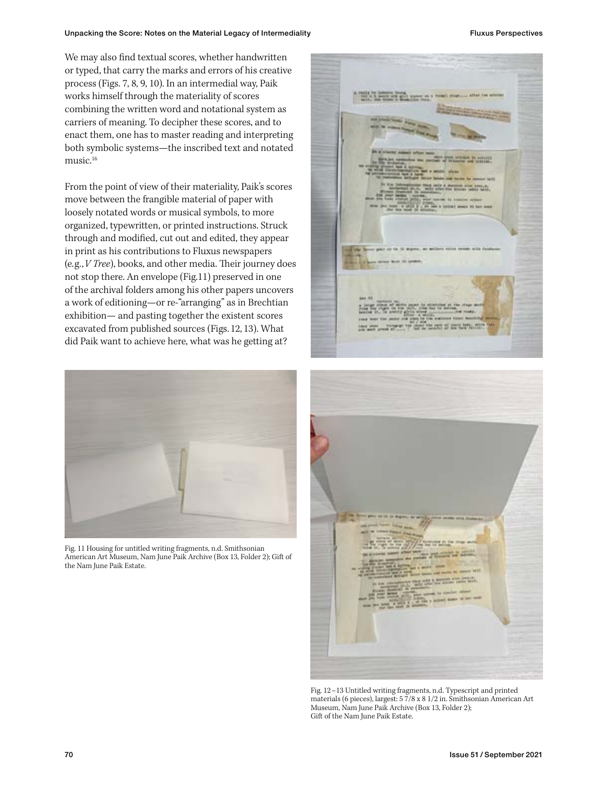We may also find textual scores, whether handwritten or typed, that carry the marks and errors of his creative process (Figs. 7, 8, 9, 10). In an intermedial way, Paik works himself through the materiality of scores combining the written word and notational system as carriers of meaning. To decipher these scores, and to enact them, one has to master reading and interpreting both symbolic systems—the inscribed text and notated music.<sup>16</sup>

From the point of view of their materiality, Paik's scores move between the frangible material of paper with loosely notated words or musical symbols, to more organized, typewritten, or printed instructions. Struck through and modified, cut out and edited, they appear in print as his contributions to Fluxus newspapers (e.g., *V Tree*), books, and other media. Their journey does not stop there. An envelope (Fig.11) preserved in one of the archival folders among his other papers uncovers a work of editioning—or re-"arranging" as in Brechtian exhibition— and pasting together the existent scores excavated from published sources (Figs. 12, 13). What did Paik want to achieve here, what was he getting at?



Fig. 11 Housing for untitled writing fragments, n.d. Smithsonian American Art Museum, Nam June Paik Archive (Box 13, Folder 2); Gift of the Nam June Paik Estate.





Fig. 12 – 13 Untitled writing fragments, n.d. Typescript and printed materials (6 pieces), largest: 5 7/8 x 8 1/2 in. Smithsonian American Art Museum, Nam June Paik Archive (Box 13, Folder 2); Gift of the Nam June Paik Estate.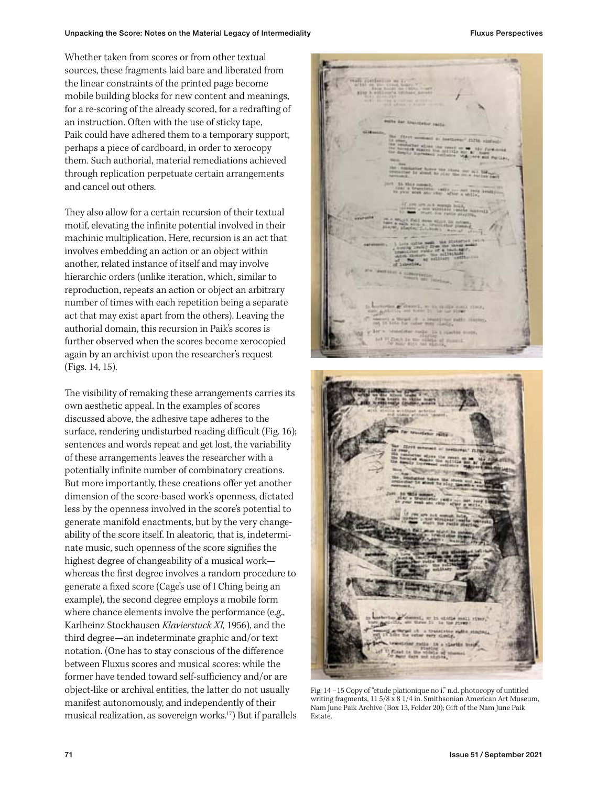Whether taken from scores or from other textual sources, these fragments laid bare and liberated from the linear constraints of the printed page become mobile building blocks for new content and meanings, for a re-scoring of the already scored, for a redrafting of an instruction. Often with the use of sticky tape, Paik could have adhered them to a temporary support, perhaps a piece of cardboard, in order to xerocopy them. Such authorial, material remediations achieved through replication perpetuate certain arrangements and cancel out others.

They also allow for a certain recursion of their textual motif, elevating the infinite potential involved in their machinic multiplication. Here, recursion is an act that involves embedding an action or an object within another, related instance of itself and may involve hierarchic orders (unlike iteration, which, similar to reproduction, repeats an action or object an arbitrary number of times with each repetition being a separate act that may exist apart from the others). Leaving the authorial domain, this recursion in Paik's scores is further observed when the scores become xerocopied again by an archivist upon the researcher's request (Figs. 14, 15).

The visibility of remaking these arrangements carries its own aesthetic appeal. In the examples of scores discussed above, the adhesive tape adheres to the surface, rendering undisturbed reading difficult (Fig. 16); sentences and words repeat and get lost, the variability of these arrangements leaves the researcher with a potentially infinite number of combinatory creations. But more importantly, these creations offer yet another dimension of the score-based work's openness, dictated less by the openness involved in the score's potential to generate manifold enactments, but by the very changeability of the score itself. In aleatoric, that is, indeterminate music, such openness of the score signifies the highest degree of changeability of a musical work whereas the first degree involves a random procedure to generate a fixed score (Cage's use of I Ching being an example), the second degree employs a mobile form where chance elements involve the performance (e.g., Karlheinz Stockhausen *Klavierstuck XI,* 1956), and the third degree—an indeterminate graphic and/or text notation. (One has to stay conscious of the difference between Fluxus scores and musical scores: while the former have tended toward self-sufficiency and/or are object-like or archival entities, the latter do not usually manifest autonomously, and independently of their musical realization, as sovereign works.17) But if parallels





Fig. 14 – 15 Copy of "etude plationique no i." n.d. photocopy of untitled writing fragments, 11 5/8 x 8 1/4 in. Smithsonian American Art Museum, Nam June Paik Archive (Box 13, Folder 20); Gift of the Nam June Paik Estate.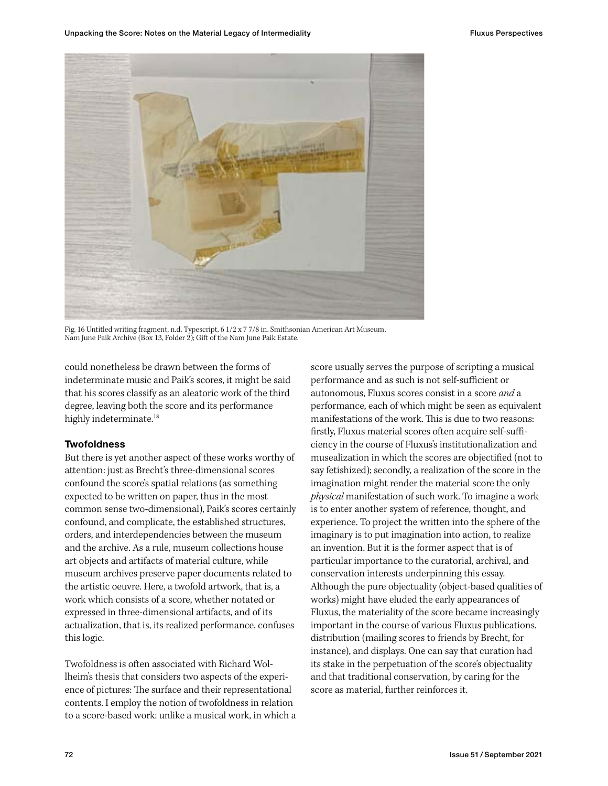

Fig. 16 Untitled writing fragment, n.d. Typescript, 6 1/2 x 7 7/8 in. Smithsonian American Art Museum, Nam June Paik Archive (Box 13, Folder 2); Gift of the Nam June Paik Estate.

could nonetheless be drawn between the forms of indeterminate music and Paik's scores, it might be said that his scores classify as an aleatoric work of the third degree, leaving both the score and its performance highly indeterminate.<sup>18</sup>

# **Twofoldness**

But there is yet another aspect of these works worthy of attention: just as Brecht's three-dimensional scores confound the score's spatial relations (as something expected to be written on paper, thus in the most common sense two-dimensional), Paik's scores certainly confound, and complicate, the established structures, orders, and interdependencies between the museum and the archive. As a rule, museum collections house art objects and artifacts of material culture, while museum archives preserve paper documents related to the artistic oeuvre. Here, a twofold artwork, that is, a work which consists of a score, whether notated or expressed in three-dimensional artifacts, and of its actualization, that is, its realized performance, confuses this logic.

Twofoldness is often associated with Richard Wollheim's thesis that considers two aspects of the experience of pictures: The surface and their representational contents. I employ the notion of twofoldness in relation to a score-based work: unlike a musical work, in which a score usually serves the purpose of scripting a musical performance and as such is not self-sufficient or autonomous, Fluxus scores consist in a score *and* a performance, each of which might be seen as equivalent manifestations of the work. This is due to two reasons: firstly, Fluxus material scores often acquire self-sufficiency in the course of Fluxus's institutionalization and musealization in which the scores are objectified (not to say fetishized); secondly, a realization of the score in the imagination might render the material score the only *physical* manifestation of such work. To imagine a work is to enter another system of reference, thought, and experience. To project the written into the sphere of the imaginary is to put imagination into action, to realize an invention. But it is the former aspect that is of particular importance to the curatorial, archival, and conservation interests underpinning this essay. Although the pure objectuality (object-based qualities of works) might have eluded the early appearances of Fluxus, the materiality of the score became increasingly important in the course of various Fluxus publications, distribution (mailing scores to friends by Brecht, for instance), and displays. One can say that curation had its stake in the perpetuation of the score's objectuality and that traditional conservation, by caring for the score as material, further reinforces it.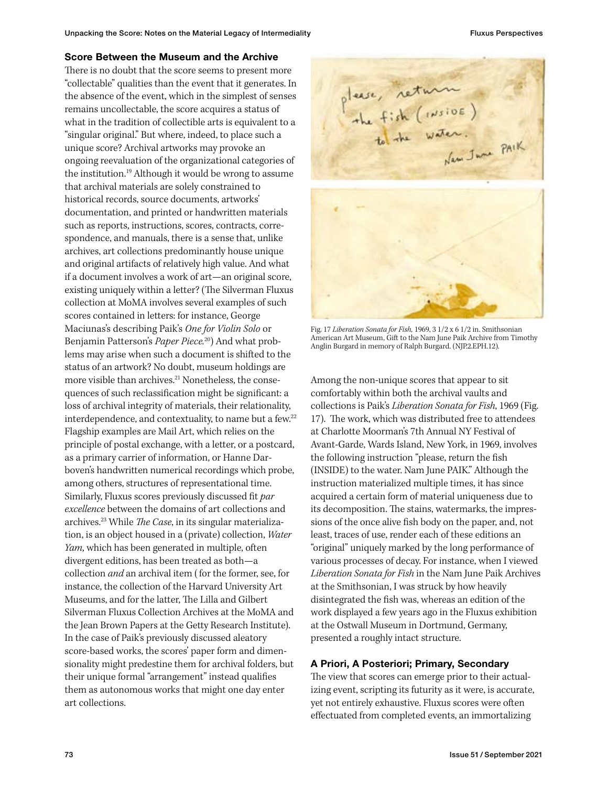### Score Between the Museum and the Archive

There is no doubt that the score seems to present more "collectable" qualities than the event that it generates. In the absence of the event, which in the simplest of senses remains uncollectable, the score acquires a status of what in the tradition of collectible arts is equivalent to a "singular original." But where, indeed, to place such a unique score? Archival artworks may provoke an ongoing reevaluation of the organizational categories of the institution.<sup>19</sup> Although it would be wrong to assume that archival materials are solely constrained to historical records, source documents, artworks' documentation, and printed or handwritten materials such as reports, instructions, scores, contracts, correspondence, and manuals, there is a sense that, unlike archives, art collections predominantly house unique and original artifacts of relatively high value. And what if a document involves a work of art—an original score, existing uniquely within a letter? (The Silverman Fluxus collection at MoMA involves several examples of such scores contained in letters: for instance, George Maciunas's describing Paik's *One for Violin Solo* or Benjamin Patterson's *Paper Piece.*20) And what problems may arise when such a document is shifted to the status of an artwork? No doubt, museum holdings are more visible than archives.<sup>21</sup> Nonetheless, the consequences of such reclassification might be significant: a loss of archival integrity of materials, their relationality, interdependence, and contextuality, to name but a few.<sup>22</sup> Flagship examples are Mail Art, which relies on the principle of postal exchange, with a letter, or a postcard, as a primary carrier of information, or Hanne Darboven's handwritten numerical recordings which probe, among others, structures of representational time. Similarly, Fluxus scores previously discussed fit *par excellence* between the domains of art collections and archives.23 While *The Case*, in its singular materialization, is an object housed in a (private) collection, *Water Yam*, which has been generated in multiple, often divergent editions, has been treated as both—a collection *and* an archival item ( for the former, see, for instance, the collection of the Harvard University Art Museums, and for the latter, The Lilla and Gilbert Silverman Fluxus Collection Archives at the MoMA and the Jean Brown Papers at the Getty Research Institute). In the case of Paik's previously discussed aleatory score-based works, the scores' paper form and dimensionality might predestine them for archival folders, but their unique formal "arrangement" instead qualifies them as autonomous works that might one day enter art collections.



Fig. 17 *Liberation Sonata for Fish,* 1969, 3 1/2 x 6 1/2 in. Smithsonian American Art Museum, Gift to the Nam June Paik Archive from Timothy Anglin Burgard in memory of Ralph Burgard. (NJP.2.EPH.12).

Among the non-unique scores that appear to sit comfortably within both the archival vaults and collections is Paik's *Liberation Sonata for Fish*, 1969 (Fig. 17). The work, which was distributed free to attendees at Charlotte Moorman's 7th Annual NY Festival of Avant-Garde, Wards Island, New York, in 1969, involves the following instruction "please, return the fish (INSIDE) to the water. Nam June PAIK." Although the instruction materialized multiple times, it has since acquired a certain form of material uniqueness due to its decomposition. The stains, watermarks, the impressions of the once alive fish body on the paper, and, not least, traces of use, render each of these editions an "original" uniquely marked by the long performance of various processes of decay. For instance, when I viewed *Liberation Sonata for Fish* in the Nam June Paik Archives at the Smithsonian, I was struck by how heavily disintegrated the fish was, whereas an edition of the work displayed a few years ago in the Fluxus exhibition at the Ostwall Museum in Dortmund, Germany, presented a roughly intact structure.

# A Priori, A Posteriori; Primary, Secondary

The view that scores can emerge prior to their actualizing event, scripting its futurity as it were, is accurate, yet not entirely exhaustive. Fluxus scores were often effectuated from completed events, an immortalizing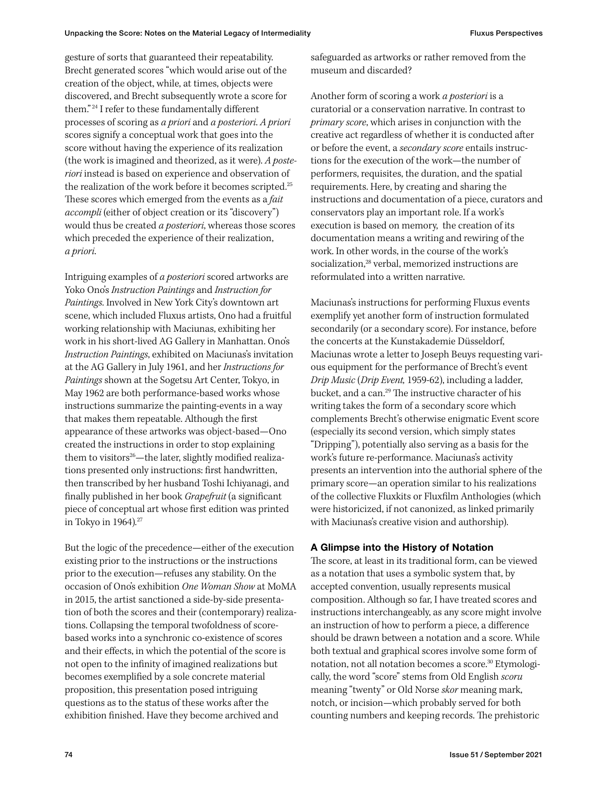gesture of sorts that guaranteed their repeatability. Brecht generated scores "which would arise out of the creation of the object, while, at times, objects were discovered, and Brecht subsequently wrote a score for them." <sup>24</sup> I refer to these fundamentally different processes of scoring as *a priori* and *a posteriori*. *A priori* scores signify a conceptual work that goes into the score without having the experience of its realization (the work is imagined and theorized, as it were). *A posteriori* instead is based on experience and observation of the realization of the work before it becomes scripted.<sup>25</sup> These scores which emerged from the events as a *fait accompli* (either of object creation or its "discovery") would thus be created *a posteriori*, whereas those scores which preceded the experience of their realization, *a priori*.

Intriguing examples of *a posteriori* scored artworks are Yoko Ono's *Instruction Paintings* and *Instruction for Paintings*. Involved in New York City's downtown art scene, which included Fluxus artists, Ono had a fruitful working relationship with Maciunas, exhibiting her work in his short-lived AG Gallery in Manhattan. Ono's *Instruction Paintings*, exhibited on Maciunas's invitation at the AG Gallery in July 1961, and her *Instructions for Paintings* shown at the Sogetsu Art Center, Tokyo, in May 1962 are both performance-based works whose instructions summarize the painting-events in a way that makes them repeatable. Although the first appearance of these artworks was object-based—Ono created the instructions in order to stop explaining them to visitors<sup>26</sup>—the later, slightly modified realizations presented only instructions: first handwritten, then transcribed by her husband Toshi Ichiyanagi, and finally published in her book *Grapefruit* (a significant piece of conceptual art whose first edition was printed in Tokyo in 1964)*.* 27

But the logic of the precedence—either of the execution existing prior to the instructions or the instructions prior to the execution—refuses any stability. On the occasion of Ono's exhibition *One Woman Show* at MoMA in 2015, the artist sanctioned a side-by-side presentation of both the scores and their (contemporary) realizations. Collapsing the temporal twofoldness of scorebased works into a synchronic co-existence of scores and their effects, in which the potential of the score is not open to the infinity of imagined realizations but becomes exemplified by a sole concrete material proposition, this presentation posed intriguing questions as to the status of these works after the exhibition finished. Have they become archived and

safeguarded as artworks or rather removed from the museum and discarded?

Another form of scoring a work *a posteriori* is a curatorial or a conservation narrative. In contrast to *primary score*, which arises in conjunction with the creative act regardless of whether it is conducted after or before the event, a *secondary score* entails instructions for the execution of the work—the number of performers, requisites, the duration, and the spatial requirements. Here, by creating and sharing the instructions and documentation of a piece, curators and conservators play an important role. If a work's execution is based on memory, the creation of its documentation means a writing and rewiring of the work. In other words, in the course of the work's socialization.<sup>28</sup> verbal, memorized instructions are reformulated into a written narrative.

Maciunas's instructions for performing Fluxus events exemplify yet another form of instruction formulated secondarily (or a secondary score). For instance, before the concerts at the Kunstakademie Düsseldorf, Maciunas wrote a letter to Joseph Beuys requesting various equipment for the performance of Brecht's event *Drip Music* (*Drip Event,* 1959-62), including a ladder, bucket, and a can.29 The instructive character of his writing takes the form of a secondary score which complements Brecht's otherwise enigmatic Event score (especially its second version, which simply states "Dripping"), potentially also serving as a basis for the work's future re-performance. Maciunas's activity presents an intervention into the authorial sphere of the primary score—an operation similar to his realizations of the collective Fluxkits or Fluxfilm Anthologies (which were historicized, if not canonized, as linked primarily with Maciunas's creative vision and authorship).

# A Glimpse into the History of Notation

The score, at least in its traditional form, can be viewed as a notation that uses a symbolic system that, by accepted convention, usually represents musical composition. Although so far, I have treated scores and instructions interchangeably, as any score might involve an instruction of how to perform a piece, a difference should be drawn between a notation and a score. While both textual and graphical scores involve some form of notation, not all notation becomes a score.30 Etymologically, the word "score" stems from Old English *scoru* meaning "twenty" or Old Norse *skor* meaning mark, notch, or incision—which probably served for both counting numbers and keeping records. The prehistoric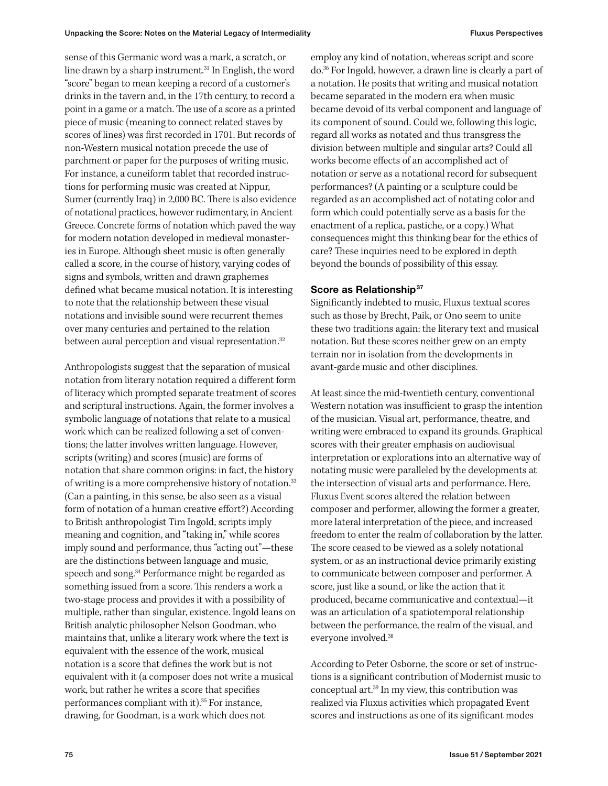sense of this Germanic word was a mark, a scratch, or line drawn by a sharp instrument.<sup>31</sup> In English, the word "score" began to mean keeping a record of a customer's drinks in the tavern and, in the 17th century, to record a point in a game or a match. The use of a score as a printed piece of music (meaning to connect related staves by scores of lines) was first recorded in 1701. But records of non-Western musical notation precede the use of parchment or paper for the purposes of writing music. For instance, a cuneiform tablet that recorded instructions for performing music was created at Nippur, Sumer (currently Iraq) in 2,000 BC. There is also evidence of notational practices, however rudimentary, in Ancient Greece. Concrete forms of notation which paved the way for modern notation developed in medieval monasteries in Europe. Although sheet music is often generally called a score, in the course of history, varying codes of signs and symbols, written and drawn graphemes defined what became musical notation. It is interesting to note that the relationship between these visual notations and invisible sound were recurrent themes over many centuries and pertained to the relation between aural perception and visual representation.<sup>32</sup>

Anthropologists suggest that the separation of musical notation from literary notation required a different form of literacy which prompted separate treatment of scores and scriptural instructions. Again, the former involves a symbolic language of notations that relate to a musical work which can be realized following a set of conventions; the latter involves written language. However, scripts (writing) and scores (music) are forms of notation that share common origins: in fact, the history of writing is a more comprehensive history of notation.<sup>33</sup> (Can a painting, in this sense, be also seen as a visual form of notation of a human creative effort?) According to British anthropologist Tim Ingold, scripts imply meaning and cognition, and "taking in," while scores imply sound and performance, thus "acting out"—these are the distinctions between language and music, speech and song.<sup>34</sup> Performance might be regarded as something issued from a score. This renders a work a two-stage process and provides it with a possibility of multiple, rather than singular, existence. Ingold leans on British analytic philosopher Nelson Goodman, who maintains that, unlike a literary work where the text is equivalent with the essence of the work, musical notation is a score that defines the work but is not equivalent with it (a composer does not write a musical work, but rather he writes a score that specifies performances compliant with it).<sup>35</sup> For instance, drawing, for Goodman, is a work which does not

employ any kind of notation, whereas script and score do.36 For Ingold, however, a drawn line is clearly a part of a notation. He posits that writing and musical notation became separated in the modern era when music became devoid of its verbal component and language of its component of sound. Could we, following this logic, regard all works as notated and thus transgress the division between multiple and singular arts? Could all works become effects of an accomplished act of notation or serve as a notational record for subsequent performances? (A painting or a sculpture could be regarded as an accomplished act of notating color and form which could potentially serve as a basis for the enactment of a replica, pastiche, or a copy.) What consequences might this thinking bear for the ethics of care? These inquiries need to be explored in depth beyond the bounds of possibility of this essay.

### Score as Relationship<sup>37</sup>

Significantly indebted to music, Fluxus textual scores such as those by Brecht, Paik, or Ono seem to unite these two traditions again: the literary text and musical notation. But these scores neither grew on an empty terrain nor in isolation from the developments in avant-garde music and other disciplines.

At least since the mid-twentieth century, conventional Western notation was insufficient to grasp the intention of the musician. Visual art, performance, theatre, and writing were embraced to expand its grounds. Graphical scores with their greater emphasis on audiovisual interpretation or explorations into an alternative way of notating music were paralleled by the developments at the intersection of visual arts and performance. Here, Fluxus Event scores altered the relation between composer and performer, allowing the former a greater, more lateral interpretation of the piece, and increased freedom to enter the realm of collaboration by the latter. The score ceased to be viewed as a solely notational system, or as an instructional device primarily existing to communicate between composer and performer. A score, just like a sound, or like the action that it produced, became communicative and contextual—it was an articulation of a spatiotemporal relationship between the performance, the realm of the visual, and everyone involved.38

According to Peter Osborne, the score or set of instructions is a significant contribution of Modernist music to conceptual art.39 In my view, this contribution was realized via Fluxus activities which propagated Event scores and instructions as one of its significant modes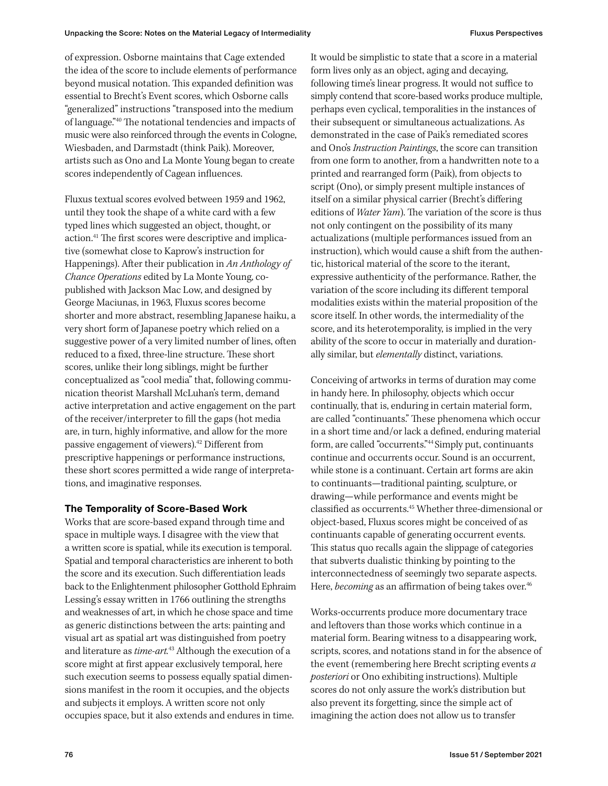of expression. Osborne maintains that Cage extended the idea of the score to include elements of performance beyond musical notation. This expanded definition was essential to Brecht's Event scores, which Osborne calls "generalized" instructions "transposed into the medium of language."40 The notational tendencies and impacts of music were also reinforced through the events in Cologne, Wiesbaden, and Darmstadt (think Paik). Moreover, artists such as Ono and La Monte Young began to create scores independently of Cagean influences.

Fluxus textual scores evolved between 1959 and 1962, until they took the shape of a white card with a few typed lines which suggested an object, thought, or action.41 The first scores were descriptive and implicative (somewhat close to Kaprow's instruction for Happenings). After their publication in *An Anthology of Chance Operations* edited by La Monte Young, copublished with Jackson Mac Low, and designed by George Maciunas, in 1963, Fluxus scores become shorter and more abstract, resembling Japanese haiku, a very short form of Japanese poetry which relied on a suggestive power of a very limited number of lines, often reduced to a fixed, three-line structure. These short scores, unlike their long siblings, might be further conceptualized as "cool media" that, following communication theorist Marshall McLuhan's term, demand active interpretation and active engagement on the part of the receiver/interpreter to fill the gaps (hot media are, in turn, highly informative, and allow for the more passive engagement of viewers).42 Different from prescriptive happenings or performance instructions, these short scores permitted a wide range of interpretations, and imaginative responses.

# The Temporality of Score-Based Work

Works that are score-based expand through time and space in multiple ways. I disagree with the view that a written score is spatial, while its execution is temporal. Spatial and temporal characteristics are inherent to both the score and its execution. Such differentiation leads back to the Enlightenment philosopher Gotthold Ephraim Lessing's essay written in 1766 outlining the strengths and weaknesses of art, in which he chose space and time as generic distinctions between the arts: painting and visual art as spatial art was distinguished from poetry and literature as *time-art.*43 Although the execution of a score might at first appear exclusively temporal, here such execution seems to possess equally spatial dimensions manifest in the room it occupies, and the objects and subjects it employs. A written score not only occupies space, but it also extends and endures in time.

It would be simplistic to state that a score in a material form lives only as an object, aging and decaying, following time's linear progress. It would not suffice to simply contend that score-based works produce multiple, perhaps even cyclical, temporalities in the instances of their subsequent or simultaneous actualizations. As demonstrated in the case of Paik's remediated scores and Ono's *Instruction Paintings*, the score can transition from one form to another, from a handwritten note to a printed and rearranged form (Paik), from objects to script (Ono), or simply present multiple instances of itself on a similar physical carrier (Brecht's differing editions of *Water Yam*). The variation of the score is thus not only contingent on the possibility of its many actualizations (multiple performances issued from an instruction), which would cause a shift from the authentic, historical material of the score to the iterant, expressive authenticity of the performance. Rather, the variation of the score including its different temporal modalities exists within the material proposition of the score itself. In other words, the intermediality of the score, and its heterotemporality, is implied in the very ability of the score to occur in materially and durationally similar, but *elementally* distinct, variations.

Conceiving of artworks in terms of duration may come in handy here. In philosophy, objects which occur continually, that is, enduring in certain material form, are called "continuants." These phenomena which occur in a short time and/or lack a defined, enduring material form, are called "occurrents."44 Simply put, continuants continue and occurrents occur. Sound is an occurrent, while stone is a continuant. Certain art forms are akin to continuants—traditional painting, sculpture, or drawing—while performance and events might be classified as occurrents.45 Whether three-dimensional or object-based, Fluxus scores might be conceived of as continuants capable of generating occurrent events. This status quo recalls again the slippage of categories that subverts dualistic thinking by pointing to the interconnectedness of seemingly two separate aspects. Here, *becoming* as an affirmation of being takes over.<sup>46</sup>

Works-occurrents produce more documentary trace and leftovers than those works which continue in a material form. Bearing witness to a disappearing work, scripts, scores, and notations stand in for the absence of the event (remembering here Brecht scripting events *a posteriori* or Ono exhibiting instructions). Multiple scores do not only assure the work's distribution but also prevent its forgetting, since the simple act of imagining the action does not allow us to transfer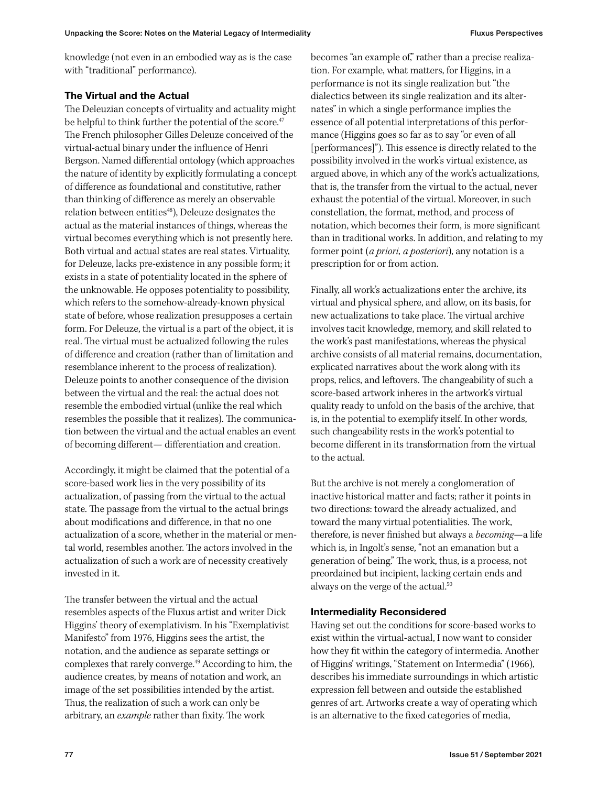knowledge (not even in an embodied way as is the case with "traditional" performance).

# The Virtual and the Actual

The Deleuzian concepts of virtuality and actuality might be helpful to think further the potential of the score.<sup>47</sup> The French philosopher Gilles Deleuze conceived of the virtual-actual binary under the influence of Henri Bergson. Named differential ontology (which approaches the nature of identity by explicitly formulating a concept of difference as foundational and constitutive, rather than thinking of difference as merely an observable relation between entities<sup>48</sup>), Deleuze designates the actual as the material instances of things, whereas the virtual becomes everything which is not presently here. Both virtual and actual states are real states. Virtuality, for Deleuze, lacks pre-existence in any possible form; it exists in a state of potentiality located in the sphere of the unknowable. He opposes potentiality to possibility, which refers to the somehow-already-known physical state of before, whose realization presupposes a certain form. For Deleuze, the virtual is a part of the object, it is real. The virtual must be actualized following the rules of difference and creation (rather than of limitation and resemblance inherent to the process of realization). Deleuze points to another consequence of the division between the virtual and the real: the actual does not resemble the embodied virtual (unlike the real which resembles the possible that it realizes). The communication between the virtual and the actual enables an event of becoming different— differentiation and creation.

Accordingly, it might be claimed that the potential of a score-based work lies in the very possibility of its actualization, of passing from the virtual to the actual state. The passage from the virtual to the actual brings about modifications and difference, in that no one actualization of a score, whether in the material or mental world, resembles another. The actors involved in the actualization of such a work are of necessity creatively invested in it.

The transfer between the virtual and the actual resembles aspects of the Fluxus artist and writer Dick Higgins' theory of exemplativism. In his "Exemplativist Manifesto" from 1976, Higgins sees the artist, the notation, and the audience as separate settings or complexes that rarely converge.49 According to him, the audience creates, by means of notation and work, an image of the set possibilities intended by the artist. Thus, the realization of such a work can only be arbitrary, an *example* rather than fixity. The work

becomes "an example of," rather than a precise realization. For example, what matters, for Higgins, in a performance is not its single realization but "the dialectics between its single realization and its alternates" in which a single performance implies the essence of all potential interpretations of this performance (Higgins goes so far as to say "or even of all [performances]"). This essence is directly related to the possibility involved in the work's virtual existence, as argued above, in which any of the work's actualizations, that is, the transfer from the virtual to the actual, never exhaust the potential of the virtual. Moreover, in such constellation, the format, method, and process of notation, which becomes their form, is more significant than in traditional works. In addition, and relating to my former point (*a priori, a posteriori*), any notation is a prescription for or from action.

Finally, all work's actualizations enter the archive, its virtual and physical sphere, and allow, on its basis, for new actualizations to take place. The virtual archive involves tacit knowledge, memory, and skill related to the work's past manifestations, whereas the physical archive consists of all material remains, documentation, explicated narratives about the work along with its props, relics, and leftovers. The changeability of such a score-based artwork inheres in the artwork's virtual quality ready to unfold on the basis of the archive, that is, in the potential to exemplify itself. In other words, such changeability rests in the work's potential to become different in its transformation from the virtual to the actual.

But the archive is not merely a conglomeration of inactive historical matter and facts; rather it points in two directions: toward the already actualized, and toward the many virtual potentialities. The work, therefore, is never finished but always a *becoming*—a life which is, in Ingolt's sense, "not an emanation but a generation of being." The work, thus, is a process, not preordained but incipient, lacking certain ends and always on the verge of the actual.<sup>50</sup>

# Intermediality Reconsidered

Having set out the conditions for score-based works to exist within the virtual-actual, I now want to consider how they fit within the category of intermedia. Another of Higgins' writings, "Statement on Intermedia" (1966), describes his immediate surroundings in which artistic expression fell between and outside the established genres of art. Artworks create a way of operating which is an alternative to the fixed categories of media,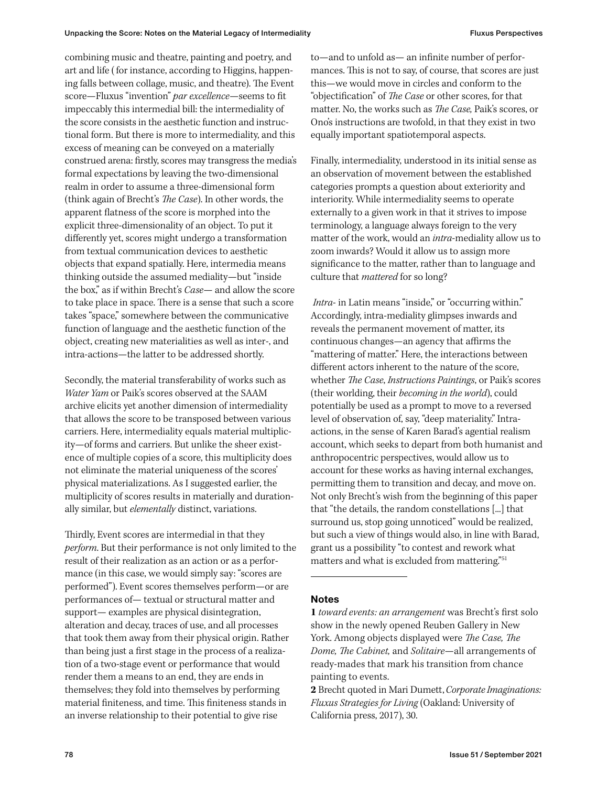combining music and theatre, painting and poetry, and art and life ( for instance, according to Higgins, happening falls between collage, music, and theatre). The Event score—Fluxus "invention" *par excellence*—seems to fit impeccably this intermedial bill: the intermediality of the score consists in the aesthetic function and instructional form. But there is more to intermediality, and this excess of meaning can be conveyed on a materially construed arena: firstly, scores may transgress the media's formal expectations by leaving the two-dimensional realm in order to assume a three-dimensional form (think again of Brecht's *The Case*). In other words, the apparent flatness of the score is morphed into the explicit three-dimensionality of an object. To put it differently yet, scores might undergo a transformation from textual communication devices to aesthetic objects that expand spatially. Here, intermedia means thinking outside the assumed mediality—but "inside the box," as if within Brecht's *Case*— and allow the score to take place in space. There is a sense that such a score takes "space," somewhere between the communicative function of language and the aesthetic function of the object, creating new materialities as well as inter-, and intra-actions—the latter to be addressed shortly.

Secondly, the material transferability of works such as *Water Yam* or Paik's scores observed at the SAAM archive elicits yet another dimension of intermediality that allows the score to be transposed between various carriers. Here, intermediality equals material multiplicity—of forms and carriers. But unlike the sheer existence of multiple copies of a score, this multiplicity does not eliminate the material uniqueness of the scores' physical materializations. As I suggested earlier, the multiplicity of scores results in materially and durationally similar, but *elementally* distinct, variations.

Thirdly, Event scores are intermedial in that they *perform*. But their performance is not only limited to the result of their realization as an action or as a performance (in this case, we would simply say: "scores are performed"). Event scores themselves perform—or are performances of— textual or structural matter and support— examples are physical disintegration, alteration and decay, traces of use, and all processes that took them away from their physical origin. Rather than being just a first stage in the process of a realization of a two-stage event or performance that would render them a means to an end, they are ends in themselves; they fold into themselves by performing material finiteness, and time. This finiteness stands in an inverse relationship to their potential to give rise

to—and to unfold as— an infinite number of performances. This is not to say, of course, that scores are just this—we would move in circles and conform to the "objectification" of *The Case* or other scores, for that matter. No, the works such as *The Case,* Paik's scores, or Ono's instructions are twofold, in that they exist in two equally important spatiotemporal aspects.

Finally, intermediality, understood in its initial sense as an observation of movement between the established categories prompts a question about exteriority and interiority. While intermediality seems to operate externally to a given work in that it strives to impose terminology, a language always foreign to the very matter of the work, would an *intra*-mediality allow us to zoom inwards? Would it allow us to assign more significance to the matter, rather than to language and culture that *mattered* for so long?

*Intra*- in Latin means "inside," or "occurring within." Accordingly, intra-mediality glimpses inwards and reveals the permanent movement of matter, its continuous changes—an agency that affirms the "mattering of matter." Here, the interactions between different actors inherent to the nature of the score, whether *The Case*, *Instructions Paintings*, or Paik's scores (their worlding, their *becoming in the world*), could potentially be used as a prompt to move to a reversed level of observation of, say, "deep materiality." Intraactions, in the sense of Karen Barad's agential realism account, which seeks to depart from both humanist and anthropocentric perspectives, would allow us to account for these works as having internal exchanges, permitting them to transition and decay, and move on. Not only Brecht's wish from the beginning of this paper that "the details, the random constellations [...] that surround us, stop going unnoticed" would be realized, but such a view of things would also, in line with Barad, grant us a possibility "to contest and rework what matters and what is excluded from mattering."51

# Notes

**1** *toward events: an arrangement* was Brecht's first solo show in the newly opened Reuben Gallery in New York. Among objects displayed were *The Case, The Dome, The Cabinet,* and *Solitaire*—all arrangements of ready-mades that mark his transition from chance painting to events.

**2** Brecht quoted in Mari Dumett, *Corporate Imaginations: Fluxus Strategies for Living* (Oakland: University of California press, 2017), 30.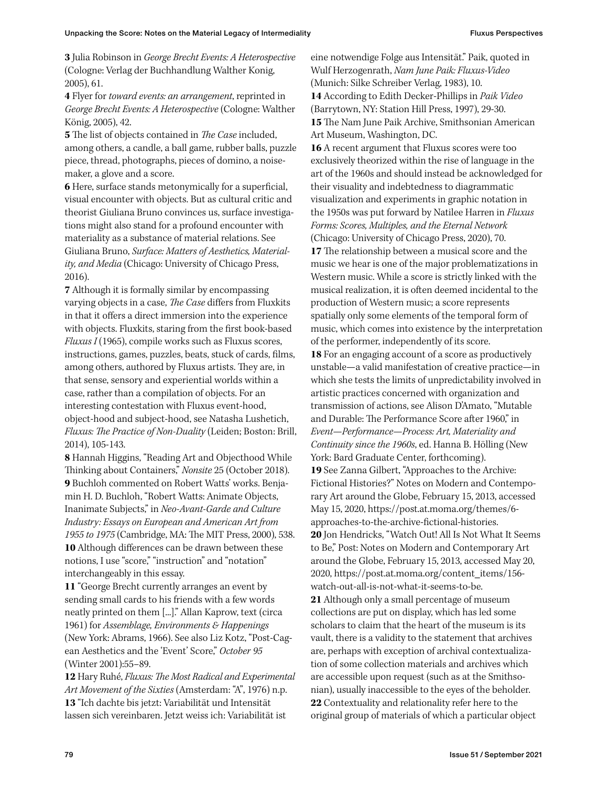**3** Julia Robinson in *George Brecht Events: A Heterospective* (Cologne: Verlag der Buchhandlung Walther Konig, 2005), 61.

**4** Flyer for *toward events: an arrangement*, reprinted in *George Brecht Events: A Heterospective* (Cologne: Walther König, 2005), 42.

**5** The list of objects contained in *The Case* included, among others, a candle, a ball game, rubber balls, puzzle piece, thread, photographs, pieces of domino, a noisemaker, a glove and a score.

**6** Here, surface stands metonymically for a superficial, visual encounter with objects. But as cultural critic and theorist Giuliana Bruno convinces us, surface investigations might also stand for a profound encounter with materiality as a substance of material relations. See Giuliana Bruno, *Surface: Matters of Aesthetics, Materiality, and Media* (Chicago: University of Chicago Press, 2016).

**7** Although it is formally similar by encompassing varying objects in a case, *The Case* differs from Fluxkits in that it offers a direct immersion into the experience with objects. Fluxkits, staring from the first book-based *Fluxus I* (1965), compile works such as Fluxus scores, instructions, games, puzzles, beats, stuck of cards, films, among others, authored by Fluxus artists. They are, in that sense, sensory and experiential worlds within a case, rather than a compilation of objects. For an interesting contestation with Fluxus event-hood, object-hood and subject-hood, see Natasha Lushetich, *Fluxus: The Practice of Non-Duality* (Leiden; Boston: Brill, 2014), 105-143.

**8** Hannah Higgins, "Reading Art and Objecthood While Thinking about Containers," *Nonsite* 25 (October 2018). **9** Buchloh commented on Robert Watts' works. Benjamin H. D. Buchloh, "Robert Watts: Animate Objects, Inanimate Subjects," in *Neo-Avant-Garde and Culture Industry: Essays on European and American Art from 1955 to 1975* (Cambridge, MA: The MIT Press, 2000), 538. **10** Although differences can be drawn between these notions, I use "score," "instruction" and "notation" interchangeably in this essay.

**11** "George Brecht currently arranges an event by sending small cards to his friends with a few words neatly printed on them [...]." Allan Kaprow, text (circa 1961) for *Assemblage, Environments & Happenings* (New York: Abrams, 1966). See also Liz Kotz, "Post-Cagean Aesthetics and the 'Event' Score," *October 95* (Winter 2001):55–89.

**12** Hary Ruhé, *Fluxus: The Most Radical and Experimental Art Movement of the Sixties* (Amsterdam: "A", 1976) n.p. **13** "Ich dachte bis jetzt: Variabilität und Intensität lassen sich vereinbaren. Jetzt weiss ich: Variabilität ist

eine notwendige Folge aus Intensität." Paik, quoted in Wulf Herzogenrath, *Nam June Paik: Fluxus-Video*  (Munich: Silke Schreiber Verlag, 1983), 10. **14** According to Edith Decker-Phillips in *Paik Video*  (Barrytown, NY: Station Hill Press, 1997), 29-30. **15** The Nam June Paik Archive, Smithsonian American Art Museum, Washington, DC.

**16** A recent argument that Fluxus scores were too exclusively theorized within the rise of language in the art of the 1960s and should instead be acknowledged for their visuality and indebtedness to diagrammatic visualization and experiments in graphic notation in the 1950s was put forward by Natilee Harren in *Fluxus Forms: Scores, Multiples, and the Eternal Network* (Chicago: University of Chicago Press, 2020), 70. **17** The relationship between a musical score and the music we hear is one of the major problematizations in Western music. While a score is strictly linked with the musical realization, it is often deemed incidental to the production of Western music; a score represents spatially only some elements of the temporal form of music, which comes into existence by the interpretation of the performer, independently of its score. **18** For an engaging account of a score as productively unstable—a valid manifestation of creative practice—in which she tests the limits of unpredictability involved in artistic practices concerned with organization and transmission of actions, see Alison D'Amato, "Mutable and Durable: The Performance Score after 1960," in *Event—Performance—Process: Art, Materiality and Continuity since the 1960s*, ed. Hanna B. Hölling (New York: Bard Graduate Center, forthcoming). **19** See Zanna Gilbert, "Approaches to the Archive: Fictional Histories?" Notes on Modern and Contemporary Art around the Globe, February 15, 2013, accessed May 15, 2020, https://post.at.moma.org/themes/6 approaches-to-the-archive-fictional-histories. **20** Jon Hendricks, "Watch Out! All Is Not What It Seems to Be," Post: Notes on Modern and Contemporary Art around the Globe, February 15, 2013, accessed May 20, 2020, https://post.at.moma.org/content\_items/156 watch-out-all-is-not-what-it-seems-to-be. **21** Although only a small percentage of museum collections are put on display, which has led some scholars to claim that the heart of the museum is its vault, there is a validity to the statement that archives are, perhaps with exception of archival contextualization of some collection materials and archives which are accessible upon request (such as at the Smithsonian), usually inaccessible to the eyes of the beholder. **22** Contextuality and relationality refer here to the original group of materials of which a particular object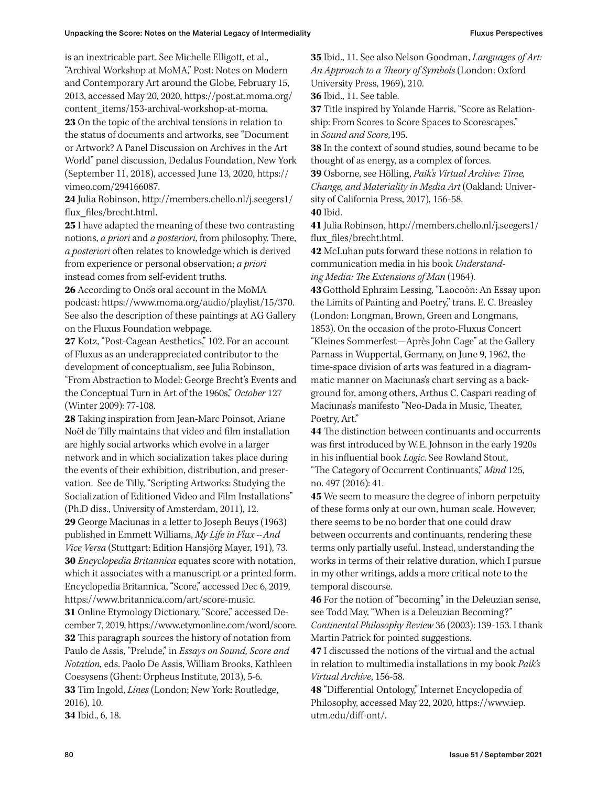is an inextricable part. See Michelle Elligott, et al., "Archival Workshop at MoMA," Post: Notes on Modern and Contemporary Art around the Globe, February 15, 2013, accessed May 20, 2020, https://post.at.moma.org/ content\_items/153-archival-workshop-at-moma. **23** On the topic of the archival tensions in relation to the status of documents and artworks, see "Document or Artwork? A Panel Discussion on Archives in the Art World" panel discussion, Dedalus Foundation, New York (September 11, 2018), accessed June 13, 2020, https:// vimeo.com/294166087.

**24** Julia Robinson, http://members.chello.nl/j.seegers1/ flux\_files/brecht.html.

**25** I have adapted the meaning of these two contrasting notions, *a priori* and *a posteriori*, from philosophy. There, *a posteriori* often relates to knowledge which is derived from experience or personal observation; *a priori* instead comes from self-evident truths.

**26** According to Ono's oral account in the MoMA podcast: https://www.moma.org/audio/playlist/15/370. See also the description of these paintings at AG Gallery on the Fluxus Foundation webpage.

**27** Kotz, "Post-Cagean Aesthetics," 102. For an account of Fluxus as an underappreciated contributor to the development of conceptualism, see Julia Robinson, "From Abstraction to Model: George Brecht's Events and the Conceptual Turn in Art of the 1960s," *October* 127 (Winter 2009): 77-108.

**28** Taking inspiration from Jean-Marc Poinsot, Ariane Noël de Tilly maintains that video and film installation are highly social artworks which evolve in a larger network and in which socialization takes place during the events of their exhibition, distribution, and preservation. See de Tilly, "Scripting Artworks: Studying the Socialization of Editioned Video and Film Installations" (Ph.D diss., University of Amsterdam, 2011), 12.

**29** George Maciunas in a letter to Joseph Beuys (1963) published in Emmett Williams, *My Life in Flux --And Vice Versa* (Stuttgart: Edition Hansjörg Mayer, 191), 73. **30** *Encyclopedia Britannica* equates score with notation, which it associates with a manuscript or a printed form. Encyclopedia Britannica, "Score," accessed Dec 6, 2019, https://www.britannica.com/art/score-music.

**31** Online Etymology Dictionary, "Score," accessed December 7, 2019, https://www.etymonline.com/word/score. **32** This paragraph sources the history of notation from Paulo de Assis, "Prelude," in *Essays on Sound, Score and Notation,* eds. Paolo De Assis, William Brooks, Kathleen Coesysens (Ghent: Orpheus Institute, 2013), 5-6. **33** Tim Ingold, *Lines* (London; New York: Routledge, 2016), 10. **34** Ibid., 6, 18.

**35** Ibid., 11. See also Nelson Goodman, *Languages of Art: An Approach to a Theory of Symbols* (London: Oxford University Press, 1969), 210.

**36** Ibid., 11. See table.

**37** Title inspired by Yolande Harris, "Score as Relationship: From Scores to Score Spaces to Scorescapes," in *Sound and Score,*195.

**38** In the context of sound studies, sound became to be thought of as energy, as a complex of forces.

**39** Osborne, see Hölling, *Paik's Virtual Archive: Time, Change, and Materiality in Media Art* (Oakland: University of California Press, 2017), 156-58. **40** Ibid.

**41** Julia Robinson, http://members.chello.nl/j.seegers1/ flux\_files/brecht.html.

**42** McLuhan puts forward these notions in relation to communication media in his book *Understanding Media: The Extensions of Man* (1964).

**43**Gotthold Ephraim Lessing, "Laocoön: An Essay upon the Limits of Painting and Poetry," trans. E. C. Breasley (London: Longman, Brown, Green and Longmans, 1853). On the occasion of the proto-Fluxus Concert "Kleines Sommerfest—Après John Cage" at the Gallery Parnass in Wuppertal, Germany, on June 9, 1962, the time-space division of arts was featured in a diagrammatic manner on Maciunas's chart serving as a background for, among others, Arthus C. Caspari reading of Maciunas's manifesto "Neo-Dada in Music, Theater, Poetry, Art."

**44** The distinction between continuants and occurrents was first introduced by W. E. Johnson in the early 1920s in his influential book *Logic*. See Rowland Stout, "The Category of Occurrent Continuants," *Mind* 125, no. 497 (2016): 41.

**45** We seem to measure the degree of inborn perpetuity of these forms only at our own, human scale. However, there seems to be no border that one could draw between occurrents and continuants, rendering these terms only partially useful. Instead, understanding the works in terms of their relative duration, which I pursue in my other writings, adds a more critical note to the temporal discourse.

**46** For the notion of "becoming" in the Deleuzian sense, see Todd May, "When is a Deleuzian Becoming?" *Continental Philosophy Review* 36 (2003): 139-153. I thank Martin Patrick for pointed suggestions.

**47** I discussed the notions of the virtual and the actual in relation to multimedia installations in my book *Paik's Virtual Archive*, 156-58.

**48** "Differential Ontology," Internet Encyclopedia of Philosophy, accessed May 22, 2020, https://www.iep. utm.edu/diff-ont/.